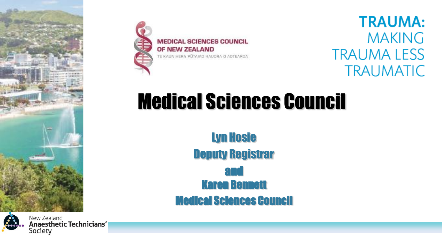



**MEDICAL SCIENCES COUNCIL** OF NEW ZEALAND TE KAUNIHERA PŪTAIAO HAUORA O AOTEAROA

**TRAUMA: MAKING TRAUMA LESS TRAUMATIC** 

# Medical Sciences Council

Lyn Hosie Deputy Registrar and Karen Bennett Medical Sciences Council



New Zealand **Anaesthetic Technicians'** Society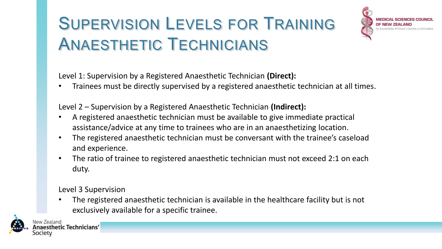# SUPERVISION LEVELS FOR TRAINING ANAESTHETIC TECHNICIANS



Level 1: Supervision by a Registered Anaesthetic Technician **(Direct):**

• Trainees must be directly supervised by a registered anaesthetic technician at all times.

Level 2 – Supervision by a Registered Anaesthetic Technician **(Indirect):**

- A registered anaesthetic technician must be available to give immediate practical assistance/advice at any time to trainees who are in an anaesthetizing location.
- The registered anaesthetic technician must be conversant with the trainee's caseload and experience.
- The ratio of trainee to registered anaesthetic technician must not exceed 2:1 on each duty.

Level 3 Supervision

• The registered anaesthetic technician is available in the healthcare facility but is not exclusively available for a specific trainee.

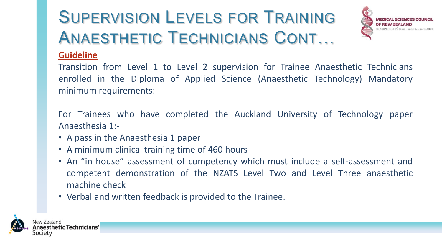# SUPERVISION LEVELS FOR TRAINING ANAESTHETIC TECHNICIANS CONT…



#### **Guideline**

Transition from Level 1 to Level 2 supervision for Trainee Anaesthetic Technicians enrolled in the Diploma of Applied Science (Anaesthetic Technology) Mandatory minimum requirements:-

For Trainees who have completed the Auckland University of Technology paper Anaesthesia 1:-

- A pass in the Anaesthesia 1 paper
- A minimum clinical training time of 460 hours
- An "in house" assessment of competency which must include a self-assessment and competent demonstration of the NZATS Level Two and Level Three anaesthetic machine check
- Verbal and written feedback is provided to the Trainee.

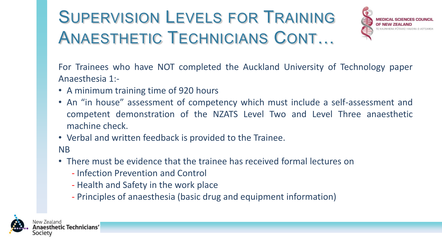# SUPERVISION LEVELS FOR TRAINING ANAESTHETIC TECHNICIANS CONT…



For Trainees who have NOT completed the Auckland University of Technology paper Anaesthesia 1:-

- A minimum training time of 920 hours
- An "in house" assessment of competency which must include a self-assessment and competent demonstration of the NZATS Level Two and Level Three anaesthetic machine check.
- Verbal and written feedback is provided to the Trainee.
- NB
- There must be evidence that the trainee has received formal lectures on
	- Infection Prevention and Control
	- Health and Safety in the work place
	- Principles of anaesthesia (basic drug and equipment information)

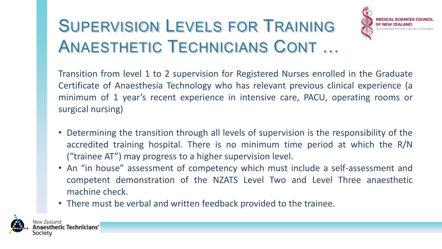# SUPERVISION LEVELS FOR TRAINING ANAESTHETIC TECHNICIANS CONT …



Transition from level 1 to 2 supervision for Registered Nurses enrolled in the Graduate Certificate of Anaesthesia Technology who has relevant previous clinical experience (a minimum of 1 year's recent experience in intensive care, PACU, operating rooms or surgical nursing)

- Determining the transition through all levels of supervision is the responsibility of the accredited training hospital. There is no minimum time period at which the R/N ("trainee AT") may progress to a higher supervision level.
- An "in house" assessment of competency which must include a self-assessment and competent demonstration of the NZATS Level Two and Level Three anaesthetic machine check.
- There must be verbal and written feedback provided to the trainee.

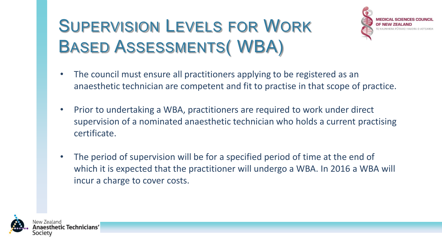# SUPERVISION LEVELS FOR WORK BASED ASSESSMENTS( WBA)



- The council must ensure all practitioners applying to be registered as an anaesthetic technician are competent and fit to practise in that scope of practice.
- Prior to undertaking a WBA, practitioners are required to work under direct supervision of a nominated anaesthetic technician who holds a current practising certificate.
- The period of supervision will be for a specified period of time at the end of which it is expected that the practitioner will undergo a WBA. In 2016 a WBA will incur a charge to cover costs.